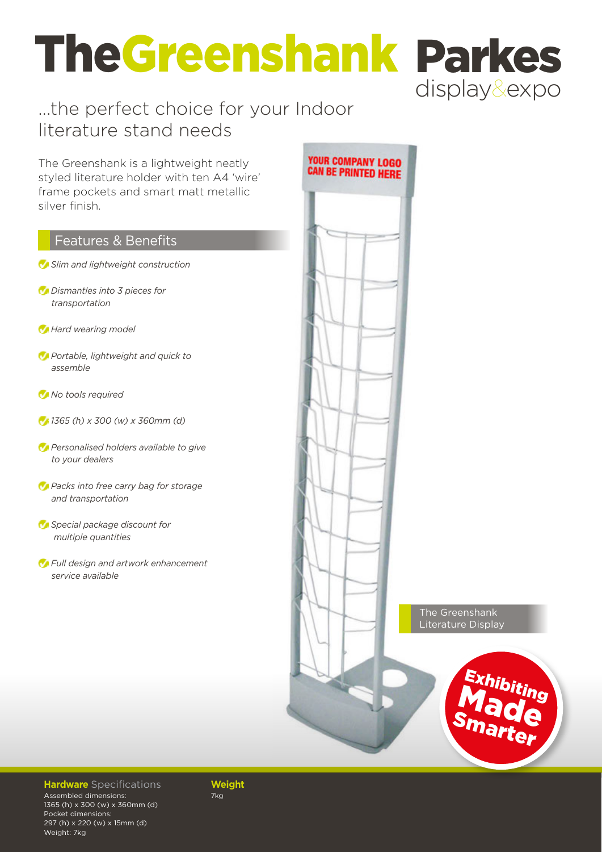# TheGreenshank Parkes display&expo

### ...the perfect choice for your Indoor literature stand needs

The Greenshank is a lightweight neatly styled literature holder with ten A4 'wire' frame pockets and smart matt metallic silver finish.

#### Features & Benefits

- *Slim and lightweight construction*
- *Dismantles into 3 pieces for transportation*
- *Hard wearing model*
- *Portable, lightweight and quick to assemble*
- *No tools required*
- *1365 (h) x 300 (w) x 360mm (d)*
- *Personalised holders available to give to your dealers*
- *Packs into free carry bag for storage and transportation*
- *Special package discount for multiple quantities*
- *Full design and artwork enhancement service available*



#### **Hardware** Specifications **Weight**

Assembled dimensions: 1365 (h) x 300 (w) x 360mm (d) Pocket dimensions: 297 (h) x 220 (w) x 15mm (d) Weight: 7kg

7kg